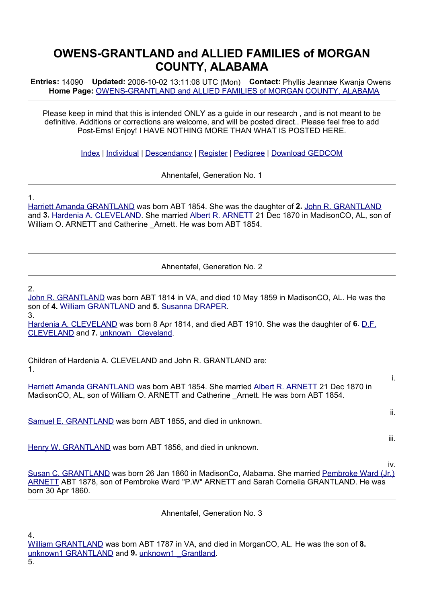## **OWENS-GRANTLAND and ALLIED FAMILIES of MORGAN COUNTY, ALABAMA**

**Entries:** 14090 **Updated:** 2006-10-02 13:11:08 UTC (Mon) **Contact:** Phyllis Jeannae Kwanja Owens **Home Page:** OWENS-GRANTLAND and ALLIED FAMILIES of MORGAN COUNTY, ALABAMA

Please keep in mind that this is intended ONLY as a guide in our research , and is not meant to be definitive. Additions or corrections are welcome, and will be posted direct.. Please feel free to add Post-Ems! Enjoy! I HAVE NOTHING MORE THAN WHAT IS POSTED HERE.

Index | Individual | Descendancy | Register | Pedigree | Download GEDCOM

Ahnentafel, Generation No. 1

1.

Harriett Amanda GRANTLAND was born ABT 1854. She was the daughter of **2.** John R. GRANTLAND and **3.** Hardenia A. CLEVELAND. She married Albert R. ARNETT 21 Dec 1870 in MadisonCO, AL, son of William O. ARNETT and Catherine Arnett. He was born ABT 1854.

Ahnentafel, Generation No. 2

## 2.

John R. GRANTLAND was born ABT 1814 in VA, and died 10 May 1859 in MadisonCO, AL. He was the son of **4.** William GRANTLAND and **5.** Susanna DRAPER. 3.

Hardenia A. CLEVELAND was born 8 Apr 1814, and died ABT 1910. She was the daughter of **6.** D.F. CLEVELAND and **7.** unknown \_Cleveland.

Children of Hardenia A. CLEVELAND and John R. GRANTLAND are: 1.

Harriett Amanda GRANTLAND was born ABT 1854. She married Albert R. ARNETT 21 Dec 1870 in MadisonCO, AL, son of William O. ARNETT and Catherine Arnett. He was born ABT 1854.

i.

ii.

iii.

iv.

Samuel E. GRANTLAND was born ABT 1855, and died in unknown.

Henry W. GRANTLAND was born ABT 1856, and died in unknown.

Susan C. GRANTLAND was born 26 Jan 1860 in MadisonCo, Alabama. She married Pembroke Ward (Jr.) ARNETT ABT 1878, son of Pembroke Ward "P.W" ARNETT and Sarah Cornelia GRANTLAND. He was born 30 Apr 1860.

Ahnentafel, Generation No. 3

4.

5.

William GRANTLAND was born ABT 1787 in VA, and died in MorganCO, AL. He was the son of **8.** unknown1 GRANTLAND and 9. unknown1 Grantland.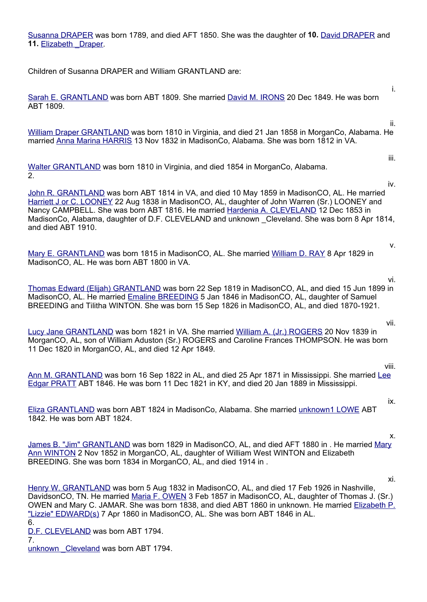Susanna DRAPER was born 1789, and died AFT 1850. She was the daughter of **10.** David DRAPER and 11. Elizabeth Draper.

Children of Susanna DRAPER and William GRANTLAND are:

Sarah E. GRANTLAND was born ABT 1809. She married David M. IRONS 20 Dec 1849. He was born ABT 1809.

William Draper GRANTLAND was born 1810 in Virginia, and died 21 Jan 1858 in MorganCo, Alabama. He married Anna Marina HARRIS 13 Nov 1832 in MadisonCo, Alabama. She was born 1812 in VA.

```
Walter GRANTLAND was born 1810 in Virginia, and died 1854 in MorganCo, Alabama.
2.
```
John R. GRANTLAND was born ABT 1814 in VA, and died 10 May 1859 in MadisonCO, AL. He married Harriett J or C. LOONEY 22 Aug 1838 in MadisonCO, AL, daughter of John Warren (Sr.) LOONEY and Nancy CAMPBELL. She was born ABT 1816. He married Hardenia A. CLEVELAND 12 Dec 1853 in MadisonCo, Alabama, daughter of D.F. CLEVELAND and unknown \_Cleveland. She was born 8 Apr 1814, and died ABT 1910.

Mary E. GRANTLAND was born 1815 in MadisonCO, AL. She married William D. RAY 8 Apr 1829 in MadisonCO, AL. He was born ABT 1800 in VA.

vi.

vii.

v.

i.

ii.

iii.

iv.

Thomas Edward (Elijah) GRANTLAND was born 22 Sep 1819 in MadisonCO, AL, and died 15 Jun 1899 in MadisonCO, AL. He married **Emaline BREEDING 5 Jan 1846 in MadisonCO, AL, daughter of Samuel** BREEDING and Tilitha WINTON. She was born 15 Sep 1826 in MadisonCO, AL, and died 1870-1921.

Lucy Jane GRANTLAND was born 1821 in VA. She married William A. (Jr.) ROGERS 20 Nov 1839 in MorganCO, AL, son of William Aduston (Sr.) ROGERS and Caroline Frances THOMPSON. He was born 11 Dec 1820 in MorganCO, AL, and died 12 Apr 1849.

viii.

Ann M. GRANTLAND was born 16 Sep 1822 in AL, and died 25 Apr 1871 in Mississippi. She married Lee Edgar PRATT ABT 1846. He was born 11 Dec 1821 in KY, and died 20 Jan 1889 in Mississippi.

Eliza GRANTLAND was born ABT 1824 in MadisonCo, Alabama. She married unknown1 LOWE ABT 1842. He was born ABT 1824.

x.

xi.

ix.

James B. "Jim" GRANTLAND was born 1829 in MadisonCO, AL, and died AFT 1880 in . He married Mary Ann WINTON 2 Nov 1852 in MorganCO, AL, daughter of William West WINTON and Elizabeth BREEDING. She was born 1834 in MorganCO, AL, and died 1914 in .

Henry W. GRANTLAND was born 5 Aug 1832 in MadisonCO, AL, and died 17 Feb 1926 in Nashville, DavidsonCO, TN. He married Maria F. OWEN 3 Feb 1857 in MadisonCO, AL, daughter of Thomas J. (Sr.) OWEN and Mary C. JAMAR. She was born 1838, and died ABT 1860 in unknown. He married Elizabeth P. "Lizzie" EDWARD(s) 7 Apr 1860 in MadisonCO, AL. She was born ABT 1846 in AL.

6.

D.F. CLEVELAND was born ABT 1794.

7.

unknown Cleveland was born ABT 1794.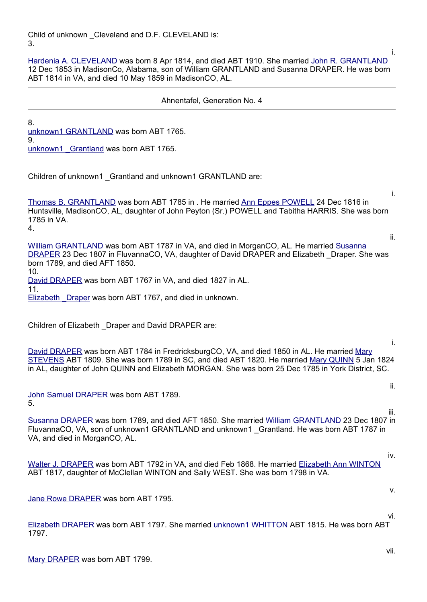Child of unknown \_Cleveland and D.F. CLEVELAND is: 3.

Hardenia A. CLEVELAND was born 8 Apr 1814, and died ABT 1910. She married John R. GRANTLAND 12 Dec 1853 in MadisonCo, Alabama, son of William GRANTLAND and Susanna DRAPER. He was born ABT 1814 in VA, and died 10 May 1859 in MadisonCO, AL.

## Ahnentafel, Generation No. 4

8. unknown1 GRANTLAND was born ABT 1765. 9.

unknown1 Grantland was born ABT 1765.

Children of unknown1 \_Grantland and unknown1 GRANTLAND are:

Thomas B. GRANTLAND was born ABT 1785 in . He married Ann Eppes POWELL 24 Dec 1816 in Huntsville, MadisonCO, AL, daughter of John Peyton (Sr.) POWELL and Tabitha HARRIS. She was born 1785 in VA.

4.

ii.

i.

ii.

i.

i.

William GRANTLAND was born ABT 1787 in VA, and died in MorganCO, AL. He married Susanna DRAPER 23 Dec 1807 in FluvannaCO, VA, daughter of David DRAPER and Elizabeth \_Draper. She was born 1789, and died AFT 1850.

10. David DRAPER was born ABT 1767 in VA, and died 1827 in AL. 11.

Elizabeth Draper was born ABT 1767, and died in unknown.

Children of Elizabeth \_Draper and David DRAPER are:

David DRAPER was born ABT 1784 in FredricksburgCO, VA, and died 1850 in AL. He married Mary STEVENS ABT 1809. She was born 1789 in SC, and died ABT 1820. He married Mary QUINN 5 Jan 1824 in AL, daughter of John QUINN and Elizabeth MORGAN. She was born 25 Dec 1785 in York District, SC.

John Samuel DRAPER was born ABT 1789. 5.

 iii. Susanna DRAPER was born 1789, and died AFT 1850. She married William GRANTLAND 23 Dec 1807 in FluvannaCO, VA, son of unknown1 GRANTLAND and unknown1 Grantland. He was born ABT 1787 in VA, and died in MorganCO, AL.

Walter J. DRAPER was born ABT 1792 in VA, and died Feb 1868. He married Elizabeth Ann WINTON ABT 1817, daughter of McClellan WINTON and Sally WEST. She was born 1798 in VA.

Jane Rowe DRAPER was born ABT 1795.

Elizabeth DRAPER was born ABT 1797. She married unknown1 WHITTON ABT 1815. He was born ABT 1797.

iv.

v.

vi.